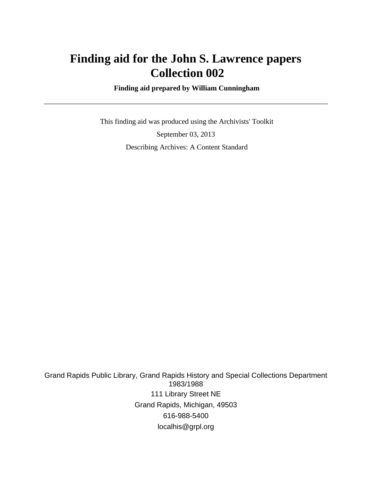# **Finding aid for the John S. Lawrence papers Collection 002**

 **Finding aid prepared by William Cunningham**

 This finding aid was produced using the Archivists' Toolkit September 03, 2013 Describing Archives: A Content Standard

Grand Rapids Public Library, Grand Rapids History and Special Collections Department 1983/1988 111 Library Street NE Grand Rapids, Michigan, 49503 616-988-5400 localhis@grpl.org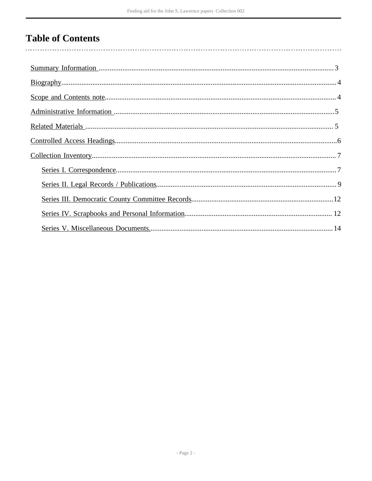# **Table of Contents**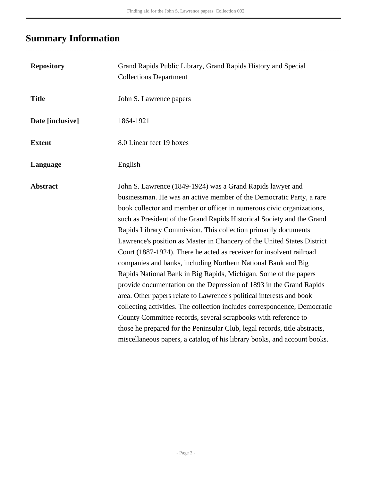# <span id="page-2-0"></span>**Summary Information**

| <b>Repository</b> | Grand Rapids Public Library, Grand Rapids History and Special<br><b>Collections Department</b>                                                                                                                                                                                                                                                                                                                                                                                                                                                                                                                                                                                                                                                                                                                                                                                                                                                                                                                                                                                                          |
|-------------------|---------------------------------------------------------------------------------------------------------------------------------------------------------------------------------------------------------------------------------------------------------------------------------------------------------------------------------------------------------------------------------------------------------------------------------------------------------------------------------------------------------------------------------------------------------------------------------------------------------------------------------------------------------------------------------------------------------------------------------------------------------------------------------------------------------------------------------------------------------------------------------------------------------------------------------------------------------------------------------------------------------------------------------------------------------------------------------------------------------|
| <b>Title</b>      | John S. Lawrence papers                                                                                                                                                                                                                                                                                                                                                                                                                                                                                                                                                                                                                                                                                                                                                                                                                                                                                                                                                                                                                                                                                 |
| Date [inclusive]  | 1864-1921                                                                                                                                                                                                                                                                                                                                                                                                                                                                                                                                                                                                                                                                                                                                                                                                                                                                                                                                                                                                                                                                                               |
| <b>Extent</b>     | 8.0 Linear feet 19 boxes                                                                                                                                                                                                                                                                                                                                                                                                                                                                                                                                                                                                                                                                                                                                                                                                                                                                                                                                                                                                                                                                                |
| Language          | English                                                                                                                                                                                                                                                                                                                                                                                                                                                                                                                                                                                                                                                                                                                                                                                                                                                                                                                                                                                                                                                                                                 |
| <b>Abstract</b>   | John S. Lawrence (1849-1924) was a Grand Rapids lawyer and<br>businessman. He was an active member of the Democratic Party, a rare<br>book collector and member or officer in numerous civic organizations,<br>such as President of the Grand Rapids Historical Society and the Grand<br>Rapids Library Commission. This collection primarily documents<br>Lawrence's position as Master in Chancery of the United States District<br>Court (1887-1924). There he acted as receiver for insolvent railroad<br>companies and banks, including Northern National Bank and Big<br>Rapids National Bank in Big Rapids, Michigan. Some of the papers<br>provide documentation on the Depression of 1893 in the Grand Rapids<br>area. Other papers relate to Lawrence's political interests and book<br>collecting activities. The collection includes correspondence, Democratic<br>County Committee records, several scrapbooks with reference to<br>those he prepared for the Peninsular Club, legal records, title abstracts,<br>miscellaneous papers, a catalog of his library books, and account books. |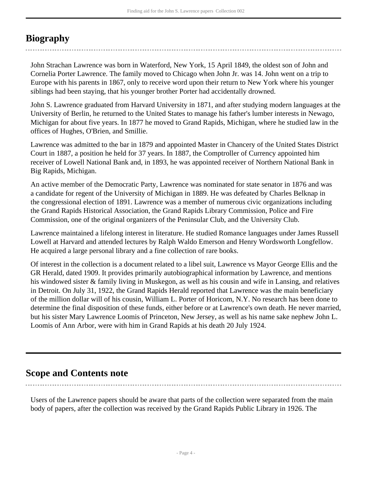### <span id="page-3-0"></span>**Biography**

John Strachan Lawrence was born in Waterford, New York, 15 April 1849, the oldest son of John and Cornelia Porter Lawrence. The family moved to Chicago when John Jr. was 14. John went on a trip to Europe with his parents in 1867, only to receive word upon their return to New York where his younger siblings had been staying, that his younger brother Porter had accidentally drowned.

John S. Lawrence graduated from Harvard University in 1871, and after studying modern languages at the University of Berlin, he returned to the United States to manage his father's lumber interests in Newago, Michigan for about five years. In 1877 he moved to Grand Rapids, Michigan, where he studied law in the offices of Hughes, O'Brien, and Smillie.

Lawrence was admitted to the bar in 1879 and appointed Master in Chancery of the United States District Court in 1887, a position he held for 37 years. In 1887, the Comptroller of Currency appointed him receiver of Lowell National Bank and, in 1893, he was appointed receiver of Northern National Bank in Big Rapids, Michigan.

An active member of the Democratic Party, Lawrence was nominated for state senator in 1876 and was a candidate for regent of the University of Michigan in 1889. He was defeated by Charles Belknap in the congressional election of 1891. Lawrence was a member of numerous civic organizations including the Grand Rapids Historical Association, the Grand Rapids Library Commission, Police and Fire Commission, one of the original organizers of the Peninsular Club, and the University Club.

Lawrence maintained a lifelong interest in literature. He studied Romance languages under James Russell Lowell at Harvard and attended lectures by Ralph Waldo Emerson and Henry Wordsworth Longfellow. He acquired a large personal library and a fine collection of rare books.

Of interest in the collection is a document related to a libel suit, Lawrence vs Mayor George Ellis and the GR Herald, dated 1909. It provides primarily autobiographical information by Lawrence, and mentions his windowed sister & family living in Muskegon, as well as his cousin and wife in Lansing, and relatives in Detroit. On July 31, 1922, the Grand Rapids Herald reported that Lawrence was the main beneficiary of the million dollar will of his cousin, William L. Porter of Horicom, N.Y. No research has been done to determine the final disposition of these funds, either before or at Lawrence's own death. He never married, but his sister Mary Lawrence Loomis of Princeton, New Jersey, as well as his name sake nephew John L. Loomis of Ann Arbor, were with him in Grand Rapids at his death 20 July 1924.

### <span id="page-3-1"></span>**Scope and Contents note**

Users of the Lawrence papers should be aware that parts of the collection were separated from the main body of papers, after the collection was received by the Grand Rapids Public Library in 1926. The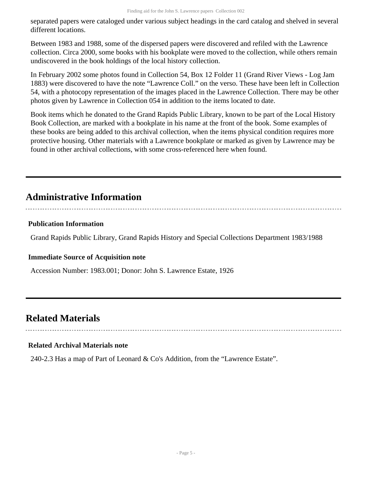separated papers were cataloged under various subject headings in the card catalog and shelved in several different locations.

Between 1983 and 1988, some of the dispersed papers were discovered and refiled with the Lawrence collection. Circa 2000, some books with his bookplate were moved to the collection, while others remain undiscovered in the book holdings of the local history collection.

In February 2002 some photos found in Collection 54, Box 12 Folder 11 (Grand River Views - Log Jam 1883) were discovered to have the note "Lawrence Coll." on the verso. These have been left in Collection 54, with a photocopy representation of the images placed in the Lawrence Collection. There may be other photos given by Lawrence in Collection 054 in addition to the items located to date.

Book items which he donated to the Grand Rapids Public Library, known to be part of the Local History Book Collection, are marked with a bookplate in his name at the front of the book. Some examples of these books are being added to this archival collection, when the items physical condition requires more protective housing. Other materials with a Lawrence bookplate or marked as given by Lawrence may be found in other archival collections, with some cross-referenced here when found.

### <span id="page-4-0"></span>**Administrative Information**

### **Publication Information**

Grand Rapids Public Library, Grand Rapids History and Special Collections Department 1983/1988

#### **Immediate Source of Acquisition note**

Accession Number: 1983.001; Donor: John S. Lawrence Estate, 1926

### <span id="page-4-1"></span>**Related Materials**

#### **Related Archival Materials note**

240-2.3 Has a map of Part of Leonard & Co's Addition, from the "Lawrence Estate".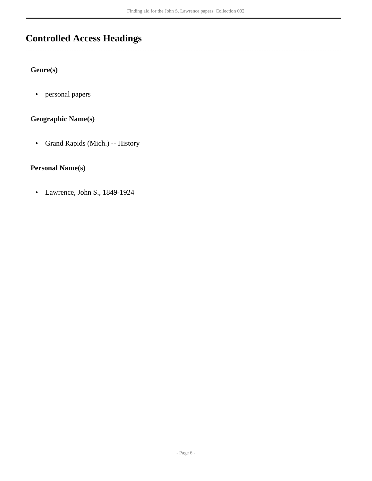## <span id="page-5-0"></span>**Controlled Access Headings**

**Genre(s)**

 $\overline{a}$ 

• personal papers

#### **Geographic Name(s)**

• Grand Rapids (Mich.) -- History

#### **Personal Name(s)**

• Lawrence, John S., 1849-1924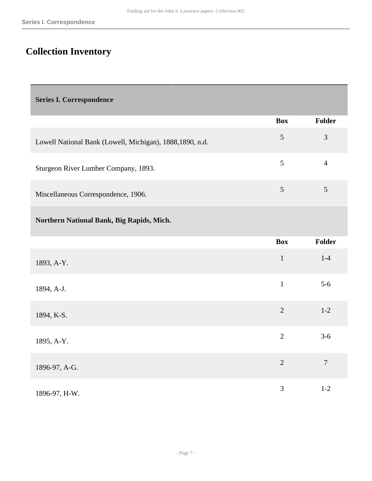## <span id="page-6-0"></span>**Collection Inventory**

<span id="page-6-1"></span>**Series I. Correspondence** 

|                                                           | <b>Box</b> | Folder |
|-----------------------------------------------------------|------------|--------|
| Lowell National Bank (Lowell, Michigan), 1888, 1890, n.d. | 5          | 3      |
| Sturgeon River Lumber Company, 1893.                      | 5          |        |
| Miscellaneous Correspondence, 1906.                       | 5          |        |

**Northern National Bank, Big Rapids, Mich.** 

|               | <b>Box</b>     | <b>Folder</b>    |
|---------------|----------------|------------------|
| 1893, A-Y.    | $\mathbf{1}$   | $1-4$            |
| 1894, A-J.    | $\mathbf{1}$   | $5 - 6$          |
| 1894, K-S.    | $\overline{2}$ | $1 - 2$          |
| 1895, A-Y.    | $\overline{2}$ | $3-6$            |
| 1896-97, A-G. | $\overline{2}$ | $\boldsymbol{7}$ |
| 1896-97, H-W. | 3              | $1 - 2$          |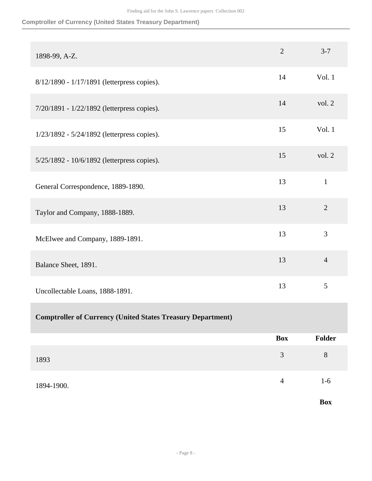#### **Comptroller of Currency (United States Treasury Department)**

| 1898-99, A-Z.                                                      | $\overline{2}$ | $3 - 7$        |
|--------------------------------------------------------------------|----------------|----------------|
| 8/12/1890 - 1/17/1891 (letterpress copies).                        | 14             | Vol. 1         |
| 7/20/1891 - 1/22/1892 (letterpress copies).                        | 14             | vol. 2         |
| 1/23/1892 - 5/24/1892 (letterpress copies).                        | 15             | Vol. 1         |
| 5/25/1892 - 10/6/1892 (letterpress copies).                        | 15             | vol. 2         |
| General Correspondence, 1889-1890.                                 | 13             | $\mathbf{1}$   |
| Taylor and Company, 1888-1889.                                     | 13             | $\overline{2}$ |
| McElwee and Company, 1889-1891.                                    | 13             | 3              |
| Balance Sheet, 1891.                                               | 13             | $\overline{4}$ |
| Uncollectable Loans, 1888-1891.                                    | 13             | 5              |
| <b>Comptroller of Currency (United States Treasury Department)</b> |                |                |
|                                                                    | <b>Box</b>     | Folder         |
| 1893                                                               | 3              | $8\,$          |
| 1894-1900.                                                         | $\overline{4}$ | $1-6$          |
|                                                                    |                | <b>Box</b>     |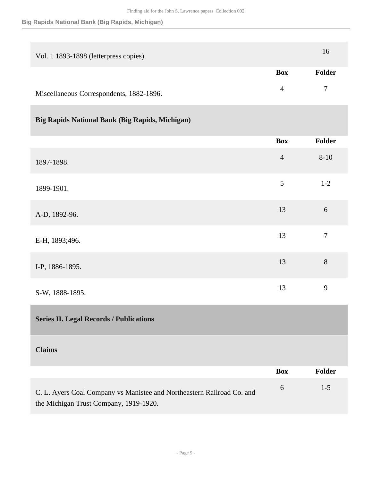#### **Big Rapids National Bank (Big Rapids, Michigan)**

| Vol. 1 1893-1898 (letterpress copies).   |            | 16     |
|------------------------------------------|------------|--------|
|                                          | <b>Box</b> | Folder |
| Miscellaneous Correspondents, 1882-1896. | 4          | $\tau$ |

### **Big Rapids National Bank (Big Rapids, Michigan)**

|                                                | <b>Box</b>     | <b>Folder</b>    |
|------------------------------------------------|----------------|------------------|
| 1897-1898.                                     | $\overline{4}$ | $8 - 10$         |
| 1899-1901.                                     | $\sqrt{5}$     | $1-2$            |
| A-D, 1892-96.                                  | 13             | 6                |
| E-H, 1893;496.                                 | 13             | $\boldsymbol{7}$ |
| I-P, 1886-1895.                                | 13             | $8\,$            |
| S-W, 1888-1895.                                | 13             | 9                |
| <b>Series II. Legal Records / Publications</b> |                |                  |
| <b>Claims</b>                                  |                |                  |

<span id="page-8-0"></span>

|                                                                        | <b>Box</b> | Folder |
|------------------------------------------------------------------------|------------|--------|
| C. L. Ayers Coal Company vs Manistee and Northeastern Railroad Co. and | $\sigma$   | $1-5$  |
| the Michigan Trust Company, 1919-1920.                                 |            |        |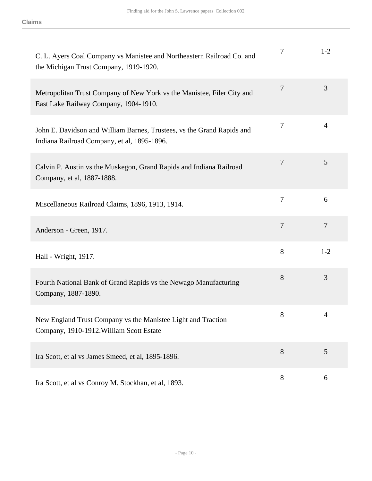| C. L. Ayers Coal Company vs Manistee and Northeastern Railroad Co. and<br>the Michigan Trust Company, 1919-1920.      | 7              | $1 - 2$        |
|-----------------------------------------------------------------------------------------------------------------------|----------------|----------------|
| Metropolitan Trust Company of New York vs the Manistee, Filer City and<br>East Lake Railway Company, 1904-1910.       | $\overline{7}$ | 3              |
| John E. Davidson and William Barnes, Trustees, vs the Grand Rapids and<br>Indiana Railroad Company, et al, 1895-1896. | 7              | 4              |
| Calvin P. Austin vs the Muskegon, Grand Rapids and Indiana Railroad<br>Company, et al, 1887-1888.                     | 7              | 5              |
| Miscellaneous Railroad Claims, 1896, 1913, 1914.                                                                      | 7              | 6              |
| Anderson - Green, 1917.                                                                                               | 7              | $\overline{7}$ |
| Hall - Wright, 1917.                                                                                                  | 8              | $1 - 2$        |
| Fourth National Bank of Grand Rapids vs the Newago Manufacturing<br>Company, 1887-1890.                               | 8              | 3              |
| New England Trust Company vs the Manistee Light and Traction<br>Company, 1910-1912. William Scott Estate              | 8              | 4              |
| Ira Scott, et al vs James Smeed, et al, 1895-1896.                                                                    | 8              | 5              |
| Ira Scott, et al vs Conroy M. Stockhan, et al, 1893.                                                                  | 8              | 6              |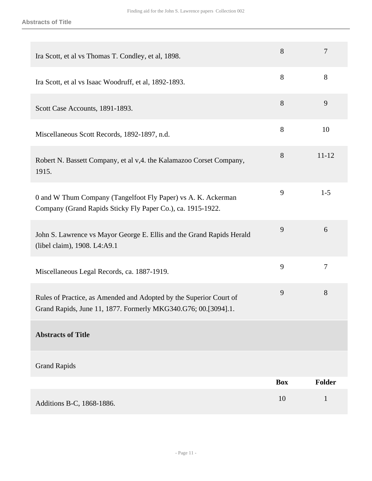| Ira Scott, et al vs Thomas T. Condley, et al, 1898.                                                                                  | 8          | $\overline{7}$ |
|--------------------------------------------------------------------------------------------------------------------------------------|------------|----------------|
| Ira Scott, et al vs Isaac Woodruff, et al, 1892-1893.                                                                                | 8          | 8              |
| Scott Case Accounts, 1891-1893.                                                                                                      | 8          | 9              |
| Miscellaneous Scott Records, 1892-1897, n.d.                                                                                         | 8          | 10             |
| Robert N. Bassett Company, et al v, 4. the Kalamazoo Corset Company,<br>1915.                                                        | 8          | $11 - 12$      |
| 0 and W Thum Company (Tangelfoot Fly Paper) vs A. K. Ackerman<br>Company (Grand Rapids Sticky Fly Paper Co.), ca. 1915-1922.         | 9          | $1 - 5$        |
| John S. Lawrence vs Mayor George E. Ellis and the Grand Rapids Herald<br>(libel claim), 1908. L4:A9.1                                | 9          | 6              |
| Miscellaneous Legal Records, ca. 1887-1919.                                                                                          | 9          | $\overline{7}$ |
| Rules of Practice, as Amended and Adopted by the Superior Court of<br>Grand Rapids, June 11, 1877. Formerly MKG340.G76; 00.[3094].1. | 9          | 8              |
| <b>Abstracts of Title</b>                                                                                                            |            |                |
| <b>Grand Rapids</b>                                                                                                                  |            |                |
|                                                                                                                                      | <b>Box</b> | <b>Folder</b>  |
| Additions B-C, 1868-1886.                                                                                                            | 10         | $\mathbf{1}$   |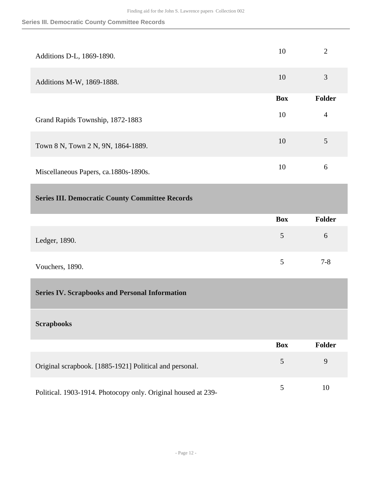<span id="page-11-1"></span><span id="page-11-0"></span>

| Additions D-L, 1869-1890.                               | 10             | $\overline{2}$ |
|---------------------------------------------------------|----------------|----------------|
| Additions M-W, 1869-1888.                               | 10             | 3              |
|                                                         | <b>Box</b>     | <b>Folder</b>  |
| Grand Rapids Township, 1872-1883                        | 10             | $\overline{4}$ |
| Town 8 N, Town 2 N, 9N, 1864-1889.                      | 10             | 5              |
| Miscellaneous Papers, ca.1880s-1890s.                   | 10             | 6              |
| <b>Series III. Democratic County Committee Records</b>  |                |                |
|                                                         | <b>Box</b>     | Folder         |
| Ledger, 1890.                                           | 5              | 6              |
| Vouchers, 1890.                                         | 5              | $7 - 8$        |
| <b>Series IV. Scrapbooks and Personal Information</b>   |                |                |
|                                                         |                |                |
| <b>Scrapbooks</b>                                       |                |                |
|                                                         | <b>Box</b>     | <b>Folder</b>  |
| Original scrapbook. [1885-1921] Political and personal. | $\mathfrak{S}$ | 9              |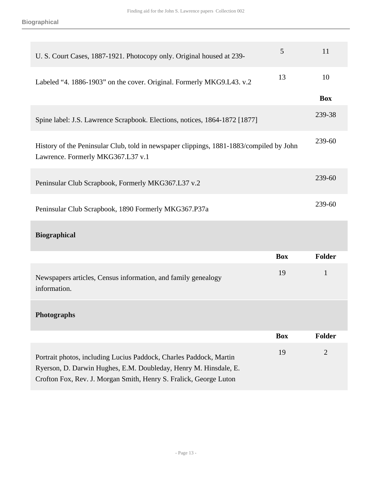| U. S. Court Cases, 1887-1921. Photocopy only. Original housed at 239-                                                        | 5  | 11         |
|------------------------------------------------------------------------------------------------------------------------------|----|------------|
| Labeled "4. 1886-1903" on the cover. Original. Formerly MKG9.L43. v.2                                                        | 13 | 10         |
|                                                                                                                              |    | <b>Box</b> |
| Spine label: J.S. Lawrence Scrapbook. Elections, notices, 1864-1872 [1877]                                                   |    | 239-38     |
| History of the Peninsular Club, told in newspaper clippings, 1881-1883/compiled by John<br>Lawrence. Formerly MKG367.L37 v.1 |    | 239-60     |
| Peninsular Club Scrapbook, Formerly MKG367.L37 v.2                                                                           |    | 239-60     |
| Peninsular Club Scrapbook, 1890 Formerly MKG367.P37a                                                                         |    | 239-60     |
| <b>Biographical</b>                                                                                                          |    |            |

|                                                                                                                                        | <b>Box</b> | Folder         |
|----------------------------------------------------------------------------------------------------------------------------------------|------------|----------------|
| Newspapers articles, Census information, and family genealogy<br>information.                                                          | 19         | 1              |
| <b>Photographs</b>                                                                                                                     |            |                |
|                                                                                                                                        | <b>Box</b> | Folder         |
| Portrait photos, including Lucius Paddock, Charles Paddock, Martin<br>Ryerson, D. Darwin Hughes, E.M. Doubleday, Henry M. Hinsdale, E. | 19         | $\overline{2}$ |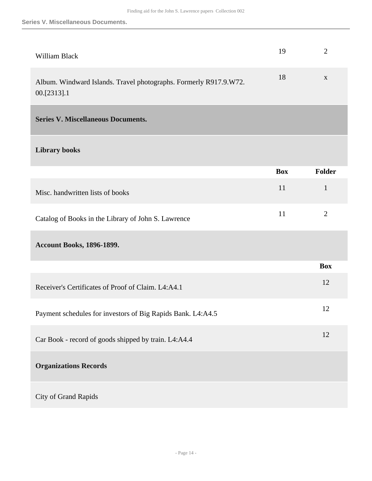<span id="page-13-0"></span>

| William Black                                                                    | 19         | $\overline{2}$ |
|----------------------------------------------------------------------------------|------------|----------------|
| Album. Windward Islands. Travel photographs. Formerly R917.9.W72.<br>00.[2313].1 | 18         | $\mathbf{X}$   |
| <b>Series V. Miscellaneous Documents.</b>                                        |            |                |
| <b>Library books</b>                                                             |            |                |
|                                                                                  | <b>Box</b> | Folder         |
| Misc. handwritten lists of books                                                 | 11         | $\mathbf{1}$   |
| Catalog of Books in the Library of John S. Lawrence                              | 11         | $\overline{2}$ |
| <b>Account Books, 1896-1899.</b>                                                 |            |                |
|                                                                                  |            | <b>Box</b>     |
| Receiver's Certificates of Proof of Claim. L4:A4.1                               |            | 12             |
| Payment schedules for investors of Big Rapids Bank. L4:A4.5                      |            | 12             |
| Car Book - record of goods shipped by train. L4:A4.4                             |            | 12             |
| <b>Organizations Records</b>                                                     |            |                |
| City of Grand Rapids                                                             |            |                |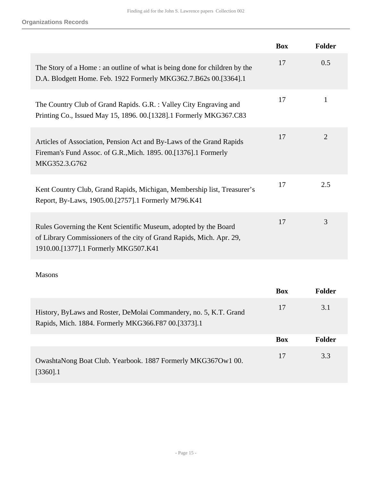|                                                                                                                                                                                  | <b>Box</b> | <b>Folder</b>  |
|----------------------------------------------------------------------------------------------------------------------------------------------------------------------------------|------------|----------------|
| The Story of a Home: an outline of what is being done for children by the<br>D.A. Blodgett Home. Feb. 1922 Formerly MKG362.7.B62s 00.[3364].1                                    | 17         | 0.5            |
| The Country Club of Grand Rapids. G.R. : Valley City Engraving and<br>Printing Co., Issued May 15, 1896. 00. [1328]. 1 Formerly MKG367.C83                                       | 17         | 1              |
| Articles of Association, Pension Act and By-Laws of the Grand Rapids<br>Fireman's Fund Assoc. of G.R., Mich. 1895. 00. [1376]. 1 Formerly<br>MKG352.3.G762                       | 17         | $\overline{2}$ |
| Kent Country Club, Grand Rapids, Michigan, Membership list, Treasurer's<br>Report, By-Laws, 1905.00.[2757].1 Formerly M796.K41                                                   | 17         | 2.5            |
| Rules Governing the Kent Scientific Museum, adopted by the Board<br>of Library Commissioners of the city of Grand Rapids, Mich. Apr. 29,<br>1910.00.[1377].1 Formerly MKG507.K41 | 17         | 3              |

#### Masons

|                                                                                                                          | <b>Box</b> | <b>Folder</b> |
|--------------------------------------------------------------------------------------------------------------------------|------------|---------------|
| History, ByLaws and Roster, DeMolai Commandery, no. 5, K.T. Grand<br>Rapids, Mich. 1884. Formerly MKG366.F87 00.[3373].1 | 17         | 3.1           |
|                                                                                                                          | <b>Box</b> | <b>Folder</b> |
| OwashtaNong Boat Club. Yearbook. 1887 Formerly MKG367Ow1 00.<br>$[3360]$ .1                                              | 17         | 3.3           |